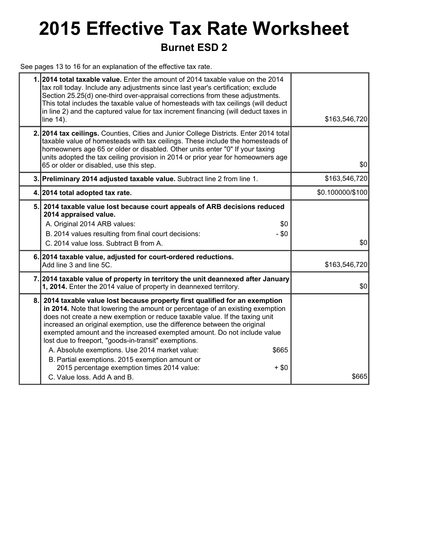## **2015 Effective Tax Rate Worksheet Burnet ESD 2**

See pages 13 to 16 for an explanation of the effective tax rate.

|    | 1. 2014 total taxable value. Enter the amount of 2014 taxable value on the 2014<br>tax roll today. Include any adjustments since last year's certification; exclude<br>Section 25.25(d) one-third over-appraisal corrections from these adjustments.<br>This total includes the taxable value of homesteads with tax ceilings (will deduct<br>in line 2) and the captured value for tax increment financing (will deduct taxes in<br>line 14).                                                                                                                                                                                                                  | \$163,546,720    |
|----|-----------------------------------------------------------------------------------------------------------------------------------------------------------------------------------------------------------------------------------------------------------------------------------------------------------------------------------------------------------------------------------------------------------------------------------------------------------------------------------------------------------------------------------------------------------------------------------------------------------------------------------------------------------------|------------------|
|    | 2. 2014 tax ceilings. Counties, Cities and Junior College Districts. Enter 2014 total<br>taxable value of homesteads with tax ceilings. These include the homesteads of<br>homeowners age 65 or older or disabled. Other units enter "0" If your taxing<br>units adopted the tax ceiling provision in 2014 or prior year for homeowners age<br>65 or older or disabled, use this step.                                                                                                                                                                                                                                                                          | \$0              |
|    | 3. Preliminary 2014 adjusted taxable value. Subtract line 2 from line 1.                                                                                                                                                                                                                                                                                                                                                                                                                                                                                                                                                                                        | \$163,546,720    |
|    | 4. 2014 total adopted tax rate.                                                                                                                                                                                                                                                                                                                                                                                                                                                                                                                                                                                                                                 | \$0.100000/\$100 |
| 5. | 2014 taxable value lost because court appeals of ARB decisions reduced<br>2014 appraised value.<br>A. Original 2014 ARB values:<br>\$0<br>$-$ \$0<br>B. 2014 values resulting from final court decisions:<br>C. 2014 value loss. Subtract B from A.                                                                                                                                                                                                                                                                                                                                                                                                             | \$0              |
|    | 6. 2014 taxable value, adjusted for court-ordered reductions.<br>Add line 3 and line 5C.                                                                                                                                                                                                                                                                                                                                                                                                                                                                                                                                                                        | \$163,546,720    |
|    | 7. 2014 taxable value of property in territory the unit deannexed after January<br>1, 2014. Enter the 2014 value of property in deannexed territory.                                                                                                                                                                                                                                                                                                                                                                                                                                                                                                            | \$0              |
| 8. | 2014 taxable value lost because property first qualified for an exemption<br>in 2014. Note that lowering the amount or percentage of an existing exemption<br>does not create a new exemption or reduce taxable value. If the taxing unit<br>increased an original exemption, use the difference between the original<br>exempted amount and the increased exempted amount. Do not include value<br>lost due to freeport, "goods-in-transit" exemptions.<br>A. Absolute exemptions. Use 2014 market value:<br>\$665<br>B. Partial exemptions. 2015 exemption amount or<br>2015 percentage exemption times 2014 value:<br>$+$ \$0<br>C. Value loss, Add A and B. | \$665            |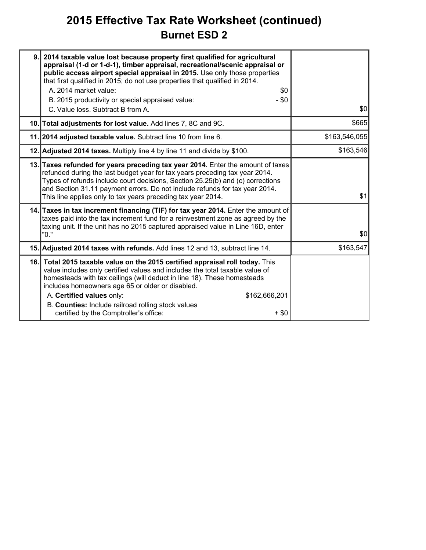### **2015 Effective Tax Rate Worksheet (continued) Burnet ESD 2**

| 9. 2014 taxable value lost because property first qualified for agricultural<br>appraisal (1-d or 1-d-1), timber appraisal, recreational/scenic appraisal or<br>public access airport special appraisal in 2015. Use only those properties<br>that first qualified in 2015; do not use properties that qualified in 2014.<br>A. 2014 market value:<br>\$0<br>B. 2015 productivity or special appraised value:<br>- \$0<br>C. Value loss. Subtract B from A. | \$0           |
|-------------------------------------------------------------------------------------------------------------------------------------------------------------------------------------------------------------------------------------------------------------------------------------------------------------------------------------------------------------------------------------------------------------------------------------------------------------|---------------|
| 10. Total adjustments for lost value. Add lines 7, 8C and 9C.                                                                                                                                                                                                                                                                                                                                                                                               | \$665         |
| 11. 2014 adjusted taxable value. Subtract line 10 from line 6.                                                                                                                                                                                                                                                                                                                                                                                              | \$163,546,055 |
| 12. Adjusted 2014 taxes. Multiply line 4 by line 11 and divide by \$100.                                                                                                                                                                                                                                                                                                                                                                                    | \$163,546     |
| 13. Taxes refunded for years preceding tax year 2014. Enter the amount of taxes<br>refunded during the last budget year for tax years preceding tax year 2014.<br>Types of refunds include court decisions, Section 25.25(b) and (c) corrections<br>and Section 31.11 payment errors. Do not include refunds for tax year 2014.<br>This line applies only to tax years preceding tax year 2014.                                                             | \$1           |
| 14. Taxes in tax increment financing (TIF) for tax year 2014. Enter the amount of<br>taxes paid into the tax increment fund for a reinvestment zone as agreed by the<br>taxing unit. If the unit has no 2015 captured appraised value in Line 16D, enter<br>"0."                                                                                                                                                                                            | \$0           |
| 15. Adjusted 2014 taxes with refunds. Add lines 12 and 13, subtract line 14.                                                                                                                                                                                                                                                                                                                                                                                | \$163,547     |
| 16. Total 2015 taxable value on the 2015 certified appraisal roll today. This<br>value includes only certified values and includes the total taxable value of<br>homesteads with tax ceilings (will deduct in line 18). These homesteads<br>includes homeowners age 65 or older or disabled.<br>A. Certified values only:<br>\$162,666,201<br>B. Counties: Include railroad rolling stock values<br>certified by the Comptroller's office:<br>$+$ \$0       |               |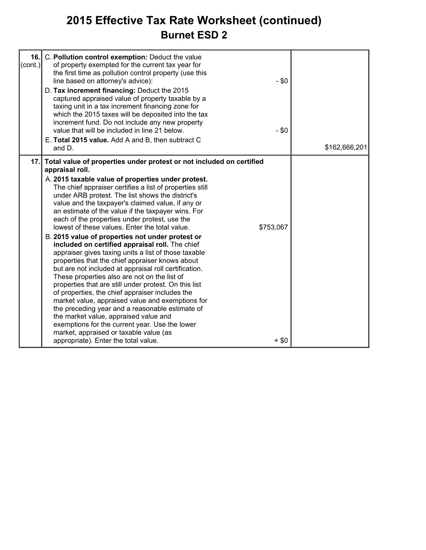### **2015 Effective Tax Rate Worksheet (continued) Burnet ESD 2**

| 16.1<br>$\text{(cont.)}$ | C. Pollution control exemption: Deduct the value<br>of property exempted for the current tax year for<br>the first time as pollution control property (use this<br>line based on attorney's advice):<br>D. Tax increment financing: Deduct the 2015<br>captured appraised value of property taxable by a<br>taxing unit in a tax increment financing zone for<br>which the 2015 taxes will be deposited into the tax<br>increment fund. Do not include any new property<br>value that will be included in line 21 below.<br>E. Total 2015 value. Add A and B, then subtract C                                                                                                                                                                                                                                                                                                                                                                                                                                                                                                                                                                                                                          | $-$ \$0<br>$-$ \$0   | \$162,666,201 |
|--------------------------|--------------------------------------------------------------------------------------------------------------------------------------------------------------------------------------------------------------------------------------------------------------------------------------------------------------------------------------------------------------------------------------------------------------------------------------------------------------------------------------------------------------------------------------------------------------------------------------------------------------------------------------------------------------------------------------------------------------------------------------------------------------------------------------------------------------------------------------------------------------------------------------------------------------------------------------------------------------------------------------------------------------------------------------------------------------------------------------------------------------------------------------------------------------------------------------------------------|----------------------|---------------|
|                          | and D.                                                                                                                                                                                                                                                                                                                                                                                                                                                                                                                                                                                                                                                                                                                                                                                                                                                                                                                                                                                                                                                                                                                                                                                                 |                      |               |
| 17.1                     | Total value of properties under protest or not included on certified<br>appraisal roll.<br>A. 2015 taxable value of properties under protest.<br>The chief appraiser certifies a list of properties still<br>under ARB protest. The list shows the district's<br>value and the taxpayer's claimed value, if any or<br>an estimate of the value if the taxpayer wins. For<br>each of the properties under protest, use the<br>lowest of these values. Enter the total value.<br>B. 2015 value of properties not under protest or<br>included on certified appraisal roll. The chief<br>appraiser gives taxing units a list of those taxable<br>properties that the chief appraiser knows about<br>but are not included at appraisal roll certification.<br>These properties also are not on the list of<br>properties that are still under protest. On this list<br>of properties, the chief appraiser includes the<br>market value, appraised value and exemptions for<br>the preceding year and a reasonable estimate of<br>the market value, appraised value and<br>exemptions for the current year. Use the lower<br>market, appraised or taxable value (as<br>appropriate). Enter the total value. | \$753,067<br>$+$ \$0 |               |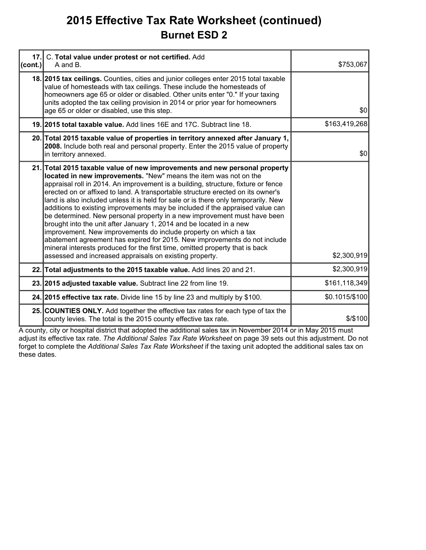### **2015 Effective Tax Rate Worksheet (continued) Burnet ESD 2**

| 17.<br>(cont.) | C. Total value under protest or not certified. Add<br>A and B.                                                                                                                                                                                                                                                                                                                                                                                                                                                                                                                                                                                                                                                                                                                                                                                                                                                                               | \$753,067      |
|----------------|----------------------------------------------------------------------------------------------------------------------------------------------------------------------------------------------------------------------------------------------------------------------------------------------------------------------------------------------------------------------------------------------------------------------------------------------------------------------------------------------------------------------------------------------------------------------------------------------------------------------------------------------------------------------------------------------------------------------------------------------------------------------------------------------------------------------------------------------------------------------------------------------------------------------------------------------|----------------|
|                | 18. 2015 tax cellings. Counties, cities and junior colleges enter 2015 total taxable<br>value of homesteads with tax ceilings. These include the homesteads of<br>homeowners age 65 or older or disabled. Other units enter "0." If your taxing<br>units adopted the tax ceiling provision in 2014 or prior year for homeowners<br>age 65 or older or disabled, use this step.                                                                                                                                                                                                                                                                                                                                                                                                                                                                                                                                                               | \$0            |
|                | 19. 2015 total taxable value. Add lines 16E and 17C. Subtract line 18.                                                                                                                                                                                                                                                                                                                                                                                                                                                                                                                                                                                                                                                                                                                                                                                                                                                                       | \$163,419,268  |
|                | 20. Total 2015 taxable value of properties in territory annexed after January 1,<br>2008. Include both real and personal property. Enter the 2015 value of property<br>in territory annexed.                                                                                                                                                                                                                                                                                                                                                                                                                                                                                                                                                                                                                                                                                                                                                 | \$0            |
|                | 21. Total 2015 taxable value of new improvements and new personal property<br>located in new improvements. "New" means the item was not on the<br>appraisal roll in 2014. An improvement is a building, structure, fixture or fence<br>erected on or affixed to land. A transportable structure erected on its owner's<br>land is also included unless it is held for sale or is there only temporarily. New<br>additions to existing improvements may be included if the appraised value can<br>be determined. New personal property in a new improvement must have been<br>brought into the unit after January 1, 2014 and be located in a new<br>improvement. New improvements do include property on which a tax<br>abatement agreement has expired for 2015. New improvements do not include<br>mineral interests produced for the first time, omitted property that is back<br>assessed and increased appraisals on existing property. | \$2,300,919    |
|                | 22. Total adjustments to the 2015 taxable value. Add lines 20 and 21.                                                                                                                                                                                                                                                                                                                                                                                                                                                                                                                                                                                                                                                                                                                                                                                                                                                                        | \$2,300,919    |
|                | 23. 2015 adjusted taxable value. Subtract line 22 from line 19.                                                                                                                                                                                                                                                                                                                                                                                                                                                                                                                                                                                                                                                                                                                                                                                                                                                                              | \$161,118,349  |
|                | 24. 2015 effective tax rate. Divide line 15 by line 23 and multiply by \$100.                                                                                                                                                                                                                                                                                                                                                                                                                                                                                                                                                                                                                                                                                                                                                                                                                                                                | \$0.1015/\$100 |
|                | 25. COUNTIES ONLY. Add together the effective tax rates for each type of tax the<br>county levies. The total is the 2015 county effective tax rate.                                                                                                                                                                                                                                                                                                                                                                                                                                                                                                                                                                                                                                                                                                                                                                                          | \$/\$100       |

A county, city or hospital district that adopted the additional sales tax in November 2014 or in May 2015 must adjust its effective tax rate. *The Additional Sales Tax Rate Worksheet* on page 39 sets out this adjustment. Do not forget to complete the *Additional Sales Tax Rate Worksheet* if the taxing unit adopted the additional sales tax on these dates.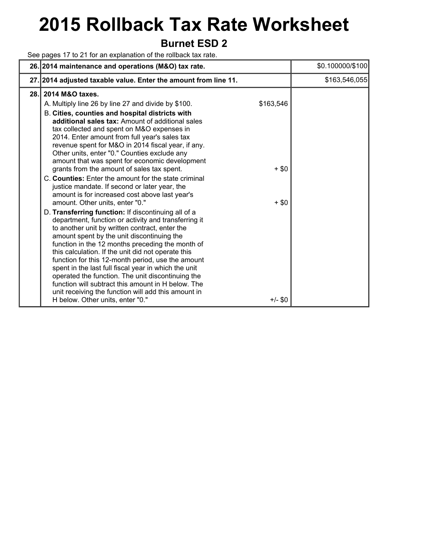# **2015 Rollback Tax Rate Worksheet**

### **Burnet ESD 2**

See pages 17 to 21 for an explanation of the rollback tax rate.

|     | 26. 2014 maintenance and operations (M&O) tax rate.                                                                                                                                                                                                                                                                                                                                                                                                                                                                                                                                                                                                                                                                                                                                                                                                                                                                                                                                                                                                                                                                                                                                                                                                                                                                          |                                              | \$0.100000/\$100 |
|-----|------------------------------------------------------------------------------------------------------------------------------------------------------------------------------------------------------------------------------------------------------------------------------------------------------------------------------------------------------------------------------------------------------------------------------------------------------------------------------------------------------------------------------------------------------------------------------------------------------------------------------------------------------------------------------------------------------------------------------------------------------------------------------------------------------------------------------------------------------------------------------------------------------------------------------------------------------------------------------------------------------------------------------------------------------------------------------------------------------------------------------------------------------------------------------------------------------------------------------------------------------------------------------------------------------------------------------|----------------------------------------------|------------------|
|     | 27. 2014 adjusted taxable value. Enter the amount from line 11.                                                                                                                                                                                                                                                                                                                                                                                                                                                                                                                                                                                                                                                                                                                                                                                                                                                                                                                                                                                                                                                                                                                                                                                                                                                              |                                              | \$163,546,055    |
| 28. | 2014 M&O taxes.<br>A. Multiply line 26 by line 27 and divide by \$100.<br>B. Cities, counties and hospital districts with<br>additional sales tax: Amount of additional sales<br>tax collected and spent on M&O expenses in<br>2014. Enter amount from full year's sales tax<br>revenue spent for M&O in 2014 fiscal year, if any.<br>Other units, enter "0." Counties exclude any<br>amount that was spent for economic development<br>grants from the amount of sales tax spent.<br>C. Counties: Enter the amount for the state criminal<br>justice mandate. If second or later year, the<br>amount is for increased cost above last year's<br>amount. Other units, enter "0."<br>D. Transferring function: If discontinuing all of a<br>department, function or activity and transferring it<br>to another unit by written contract, enter the<br>amount spent by the unit discontinuing the<br>function in the 12 months preceding the month of<br>this calculation. If the unit did not operate this<br>function for this 12-month period, use the amount<br>spent in the last full fiscal year in which the unit<br>operated the function. The unit discontinuing the<br>function will subtract this amount in H below. The<br>unit receiving the function will add this amount in<br>H below. Other units, enter "0." | \$163,546<br>$+$ \$0<br>$+$ \$0<br>$+/-$ \$0 |                  |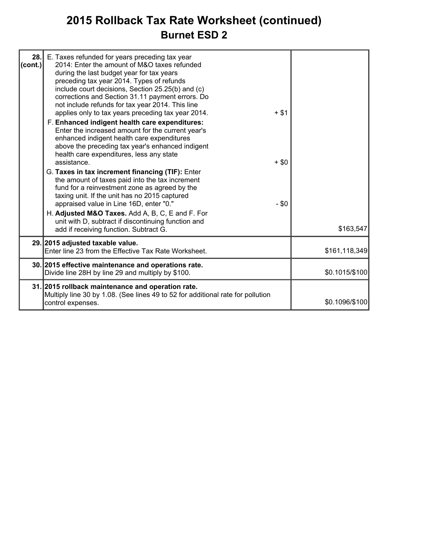### **2015 Rollback Tax Rate Worksheet (continued) Burnet ESD 2**

| 28.1<br> cont. | E. Taxes refunded for years preceding tax year<br>2014: Enter the amount of M&O taxes refunded<br>during the last budget year for tax years<br>preceding tax year 2014. Types of refunds<br>include court decisions, Section 25.25(b) and (c)<br>corrections and Section 31.11 payment errors. Do<br>not include refunds for tax year 2014. This line<br>applies only to tax years preceding tax year 2014.<br>F. Enhanced indigent health care expenditures:<br>Enter the increased amount for the current year's<br>enhanced indigent health care expenditures<br>above the preceding tax year's enhanced indigent<br>health care expenditures, less any state<br>assistance. | $+$ \$1<br>$+$ \$0 |                |
|----------------|---------------------------------------------------------------------------------------------------------------------------------------------------------------------------------------------------------------------------------------------------------------------------------------------------------------------------------------------------------------------------------------------------------------------------------------------------------------------------------------------------------------------------------------------------------------------------------------------------------------------------------------------------------------------------------|--------------------|----------------|
|                | G. Taxes in tax increment financing (TIF): Enter<br>the amount of taxes paid into the tax increment<br>fund for a reinvestment zone as agreed by the<br>taxing unit. If the unit has no 2015 captured<br>appraised value in Line 16D, enter "0."<br>H. Adjusted M&O Taxes. Add A, B, C, E and F. For<br>unit with D, subtract if discontinuing function and<br>add if receiving function. Subtract G.                                                                                                                                                                                                                                                                           | $- $0$             | \$163,547      |
|                | 29. 2015 adjusted taxable value.<br>Enter line 23 from the Effective Tax Rate Worksheet.                                                                                                                                                                                                                                                                                                                                                                                                                                                                                                                                                                                        |                    | \$161,118,349  |
|                | 30. 2015 effective maintenance and operations rate.<br>Divide line 28H by line 29 and multiply by \$100.                                                                                                                                                                                                                                                                                                                                                                                                                                                                                                                                                                        |                    | \$0.1015/\$100 |
|                | 31. 2015 rollback maintenance and operation rate.<br>Multiply line 30 by 1.08. (See lines 49 to 52 for additional rate for pollution<br>control expenses.                                                                                                                                                                                                                                                                                                                                                                                                                                                                                                                       |                    | \$0.1096/\$100 |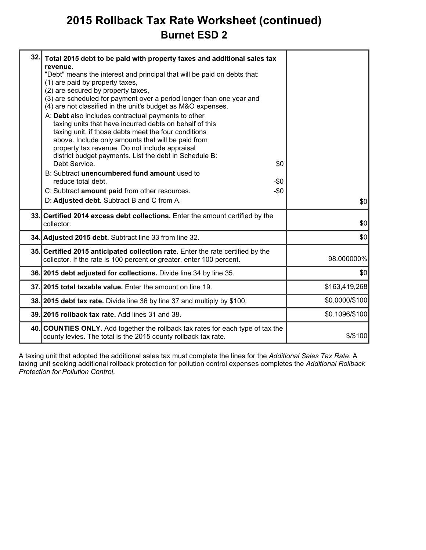### **2015 Rollback Tax Rate Worksheet (continued) Burnet ESD 2**

| 32. | Total 2015 debt to be paid with property taxes and additional sales tax<br>revenue.<br>"Debt" means the interest and principal that will be paid on debts that:<br>(1) are paid by property taxes,<br>(2) are secured by property taxes,<br>(3) are scheduled for payment over a period longer than one year and<br>(4) are not classified in the unit's budget as M&O expenses.<br>A: Debt also includes contractual payments to other<br>taxing units that have incurred debts on behalf of this<br>taxing unit, if those debts meet the four conditions<br>above. Include only amounts that will be paid from<br>property tax revenue. Do not include appraisal<br>district budget payments. List the debt in Schedule B:<br>Debt Service.<br>\$0<br>B: Subtract unencumbered fund amount used to<br>reduce total debt.<br>$-\$0$<br>C: Subtract amount paid from other resources.<br>$-\$0$<br>D: Adjusted debt. Subtract B and C from A. | \$0            |
|-----|-----------------------------------------------------------------------------------------------------------------------------------------------------------------------------------------------------------------------------------------------------------------------------------------------------------------------------------------------------------------------------------------------------------------------------------------------------------------------------------------------------------------------------------------------------------------------------------------------------------------------------------------------------------------------------------------------------------------------------------------------------------------------------------------------------------------------------------------------------------------------------------------------------------------------------------------------|----------------|
|     | 33. Certified 2014 excess debt collections. Enter the amount certified by the<br>collector.                                                                                                                                                                                                                                                                                                                                                                                                                                                                                                                                                                                                                                                                                                                                                                                                                                                   | \$0            |
|     | 34. Adjusted 2015 debt. Subtract line 33 from line 32.                                                                                                                                                                                                                                                                                                                                                                                                                                                                                                                                                                                                                                                                                                                                                                                                                                                                                        | \$0            |
|     | 35. Certified 2015 anticipated collection rate. Enter the rate certified by the<br>collector. If the rate is 100 percent or greater, enter 100 percent.                                                                                                                                                                                                                                                                                                                                                                                                                                                                                                                                                                                                                                                                                                                                                                                       | 98.000000%     |
|     | 36. 2015 debt adjusted for collections. Divide line 34 by line 35.                                                                                                                                                                                                                                                                                                                                                                                                                                                                                                                                                                                                                                                                                                                                                                                                                                                                            | \$0            |
|     | 37. 2015 total taxable value. Enter the amount on line 19.                                                                                                                                                                                                                                                                                                                                                                                                                                                                                                                                                                                                                                                                                                                                                                                                                                                                                    | \$163,419,268  |
|     | 38. 2015 debt tax rate. Divide line 36 by line 37 and multiply by \$100.                                                                                                                                                                                                                                                                                                                                                                                                                                                                                                                                                                                                                                                                                                                                                                                                                                                                      | \$0.0000/\$100 |
|     | 39. 2015 rollback tax rate. Add lines 31 and 38.                                                                                                                                                                                                                                                                                                                                                                                                                                                                                                                                                                                                                                                                                                                                                                                                                                                                                              | \$0.1096/\$100 |
|     | 40. COUNTIES ONLY. Add together the rollback tax rates for each type of tax the<br>county levies. The total is the 2015 county rollback tax rate.                                                                                                                                                                                                                                                                                                                                                                                                                                                                                                                                                                                                                                                                                                                                                                                             | \$/\$100       |
|     |                                                                                                                                                                                                                                                                                                                                                                                                                                                                                                                                                                                                                                                                                                                                                                                                                                                                                                                                               |                |

A taxing unit that adopted the additional sales tax must complete the lines for the *Additional Sales Tax Rate*. A taxing unit seeking additional rollback protection for pollution control expenses completes the *Additional Rollback Protection for Pollution Control*.